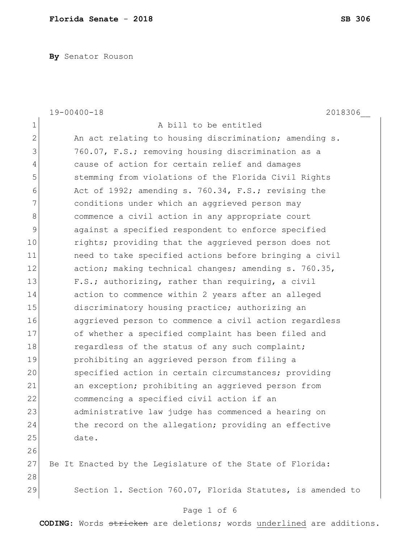**By** Senator Rouson

|              | $19 - 00400 - 18$<br>2018306                               |
|--------------|------------------------------------------------------------|
| $\mathbf 1$  | A bill to be entitled                                      |
| $\mathbf{2}$ | An act relating to housing discrimination; amending s.     |
| 3            | 760.07, F.S.; removing housing discrimination as a         |
| 4            | cause of action for certain relief and damages             |
| 5            | stemming from violations of the Florida Civil Rights       |
| 6            | Act of 1992; amending s. 760.34, F.S.; revising the        |
| 7            | conditions under which an aggrieved person may             |
| 8            | commence a civil action in any appropriate court           |
| 9            | against a specified respondent to enforce specified        |
| 10           | rights; providing that the aggrieved person does not       |
| 11           | need to take specified actions before bringing a civil     |
| 12           | action; making technical changes; amending s. 760.35,      |
| 13           | F.S.; authorizing, rather than requiring, a civil          |
| 14           | action to commence within 2 years after an alleged         |
| 15           | discriminatory housing practice; authorizing an            |
| 16           | aggrieved person to commence a civil action regardless     |
| 17           | of whether a specified complaint has been filed and        |
| 18           | regardless of the status of any such complaint;            |
| 19           | prohibiting an aggrieved person from filing a              |
| 20           | specified action in certain circumstances; providing       |
| 21           | an exception; prohibiting an aggrieved person from         |
| 22           | commencing a specified civil action if an                  |
| 23           | administrative law judge has commenced a hearing on        |
| 24           | the record on the allegation; providing an effective       |
| 25           | date.                                                      |
| 26           |                                                            |
| 27           | Be It Enacted by the Legislature of the State of Florida:  |
| 28           |                                                            |
| 29           | Section 1. Section 760.07, Florida Statutes, is amended to |
|              | Page 1 of 6                                                |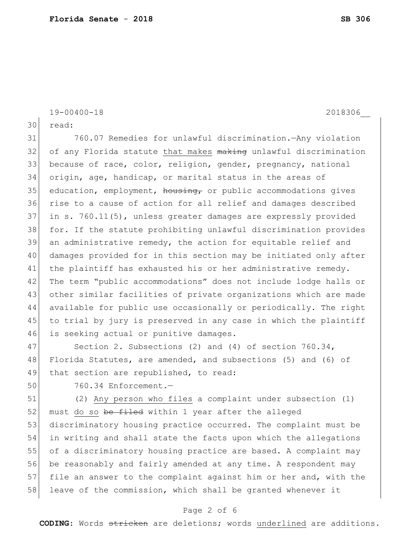30 read: 31 760.07 Remedies for unlawful discrimination.—Any violation 32 of any Florida statute that makes making unlawful discrimination 33 because of race, color, religion, gender, pregnancy, national 34 origin, age, handicap, or marital status in the areas of  $35$  education, employment, housing, or public accommodations gives 36 rise to a cause of action for all relief and damages described 37 in s. 760.11(5), unless greater damages are expressly provided 38 for. If the statute prohibiting unlawful discrimination provides 39 an administrative remedy, the action for equitable relief and 40 damages provided for in this section may be initiated only after 41 the plaintiff has exhausted his or her administrative remedy. 42 The term "public accommodations" does not include lodge halls or 43 other similar facilities of private organizations which are made 44 available for public use occasionally or periodically. The right 45 to trial by jury is preserved in any case in which the plaintiff 46 is seeking actual or punitive damages. 47 Section 2. Subsections (2) and (4) of section 760.34, 48 Florida Statutes, are amended, and subsections (5) and (6) of 49 that section are republished, to read:

50 760.34 Enforcement.—

51 (2) Any person who files a complaint under subsection (1) 52 must do so be filed within 1 year after the alleged 53 discriminatory housing practice occurred. The complaint must be 54 in writing and shall state the facts upon which the allegations 55 of a discriminatory housing practice are based. A complaint may 56 be reasonably and fairly amended at any time. A respondent may 57 file an answer to the complaint against him or her and, with the 58 leave of the commission, which shall be granted whenever it

## Page 2 of 6

**CODING**: Words stricken are deletions; words underlined are additions.

19-00400-18 2018306\_\_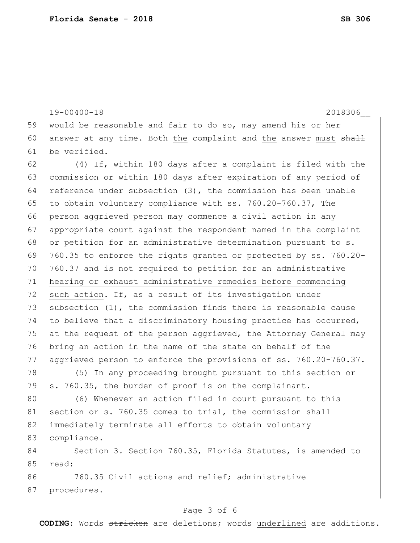19-00400-18 2018306\_\_ 59 would be reasonable and fair to do so, may amend his or her 60 answer at any time. Both the complaint and the answer must  $shall$ 61 be verified. 62  $(4)$  <del>If, within 180 days after a complaint is filed with the</del> 63 commission or within 180 days after expiration of any period of 64 reference under subsection  $(3)$ , the commission has been unable 65 to obtain voluntary compliance with  $ss. 760.20-760.37$ , The 66 person aggrieved person may commence a civil action in any 67 appropriate court against the respondent named in the complaint 68 or petition for an administrative determination pursuant to s. 69 760.35 to enforce the rights granted or protected by ss. 760.20- 70 760.37 and is not required to petition for an administrative 71 hearing or exhaust administrative remedies before commencing 72 such action. If, as a result of its investigation under 73 subsection  $(1)$ , the commission finds there is reasonable cause 74 to believe that a discriminatory housing practice has occurred, 75 at the request of the person aggrieved, the Attorney General may 76 bring an action in the name of the state on behalf of the 77 aggrieved person to enforce the provisions of ss. 760.20-760.37. 78 (5) In any proceeding brought pursuant to this section or 79 s. 760.35, the burden of proof is on the complainant. 80 (6) Whenever an action filed in court pursuant to this 81 section or s. 760.35 comes to trial, the commission shall 82 immediately terminate all efforts to obtain voluntary 83 compliance. 84 Section 3. Section 760.35, Florida Statutes, is amended to 85 read: 86 760.35 Civil actions and relief; administrative 87 procedures.-

## Page 3 of 6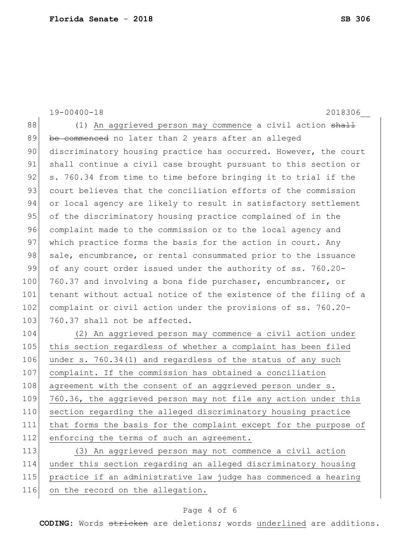19-00400-18 2018306\_\_ 88 (1) An aggrieved person may commence a civil action shall 89 be commenced no later than 2 years after an alleged 90 discriminatory housing practice has occurred. However, the court 91 shall continue a civil case brought pursuant to this section or 92  $\vert$  s. 760.34 from time to time before bringing it to trial if the 93 court believes that the conciliation efforts of the commission 94 or local agency are likely to result in satisfactory settlement 95 of the discriminatory housing practice complained of in the 96 complaint made to the commission or to the local agency and 97 which practice forms the basis for the action in court. Any 98 sale, encumbrance, or rental consummated prior to the issuance 99 of any court order issued under the authority of ss. 760.20-100 760.37 and involving a bona fide purchaser, encumbrancer, or 101 tenant without actual notice of the existence of the filing of a 102 complaint or civil action under the provisions of ss. 760.20-103 760.37 shall not be affected. 104 (2) An aggrieved person may commence a civil action under 105 this section regardless of whether a complaint has been filed 106 under s. 760.34(1) and regardless of the status of any such 107 complaint. If the commission has obtained a conciliation 108 agreement with the consent of an aggrieved person under s. 109 760.36, the aggrieved person may not file any action under this 110 section regarding the alleged discriminatory housing practice 111 that forms the basis for the complaint except for the purpose of 112 enforcing the terms of such an agreement. 113 (3) An aggrieved person may not commence a civil action 114 under this section regarding an alleged discriminatory housing 115 practice if an administrative law judge has commenced a hearing 116 on the record on the allegation.

## Page 4 of 6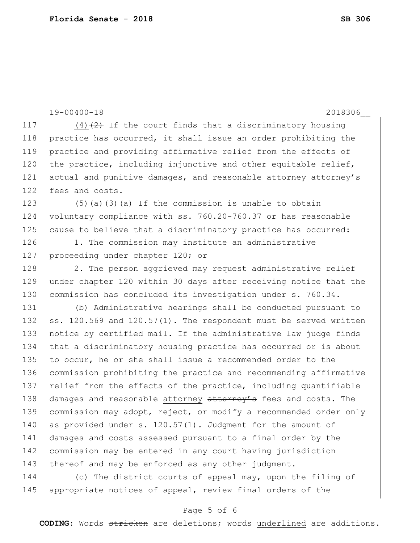19-00400-18 2018306\_\_ 117 (4) $(2)$  If the court finds that a discriminatory housing 118 practice has occurred, it shall issue an order prohibiting the 119 practice and providing affirmative relief from the effects of 120 the practice, including injunctive and other equitable relief, 121 actual and punitive damages, and reasonable attorney attorney's 122 fees and costs. 123  $(5)(a)$   $(3)$   $(a)$  If the commission is unable to obtain 124 voluntary compliance with ss. 760.20-760.37 or has reasonable 125 cause to believe that a discriminatory practice has occurred: 126 1. The commission may institute an administrative 127 proceeding under chapter 120; or 128 2. The person aggrieved may request administrative relief 129 under chapter 120 within 30 days after receiving notice that the 130 commission has concluded its investigation under s. 760.34. 131 (b) Administrative hearings shall be conducted pursuant to 132 ss. 120.569 and  $120.57(1)$ . The respondent must be served written 133 notice by certified mail. If the administrative law judge finds 134 that a discriminatory housing practice has occurred or is about 135 to occur, he or she shall issue a recommended order to the 136 commission prohibiting the practice and recommending affirmative 137 relief from the effects of the practice, including quantifiable 138 damages and reasonable attorney attorney's fees and costs. The 139 commission may adopt, reject, or modify a recommended order only 140 as provided under s. 120.57(1). Judgment for the amount of 141 damages and costs assessed pursuant to a final order by the 142 commission may be entered in any court having jurisdiction 143 thereof and may be enforced as any other judgment. 144 (c) The district courts of appeal may, upon the filing of

145 appropriate notices of appeal, review final orders of the

## Page 5 of 6